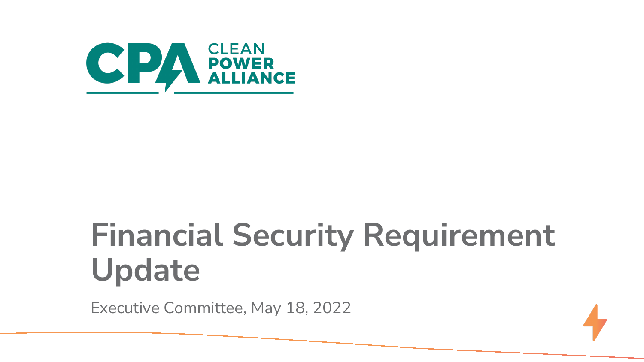

# **Financial Security Requirement Update**

Executive Committee, May 18, 2022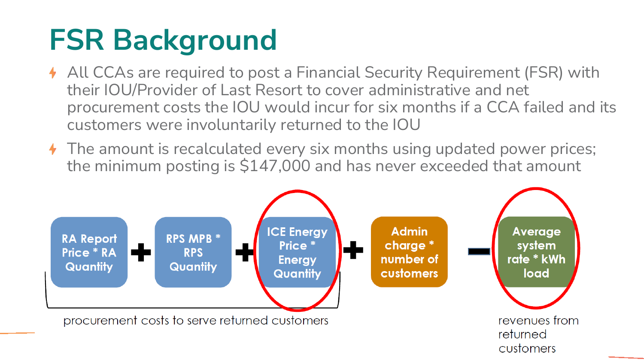### **FSR Background**

- All CCAs are required to post a Financial Security Requirement (FSR) with their IOU/Provider of Last Resort to cover administrative and net procurement costs the IOU would incur for six months if a CCA failed and its customers were involuntarily returned to the IOU
- The amount is recalculated every six months using updated power prices; the minimum posting is \$147,000 and has never exceeded that amount

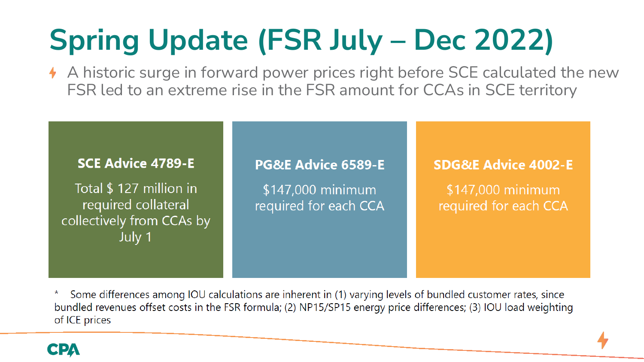# **Spring Update (FSR July - Dec 2022)**

A historic surge in forward power prices right before SCE calculated the new FSR led to an extreme rise in the FSR amount for CCAs in SCE territory

#### **SCE Advice 4789-E**

Total \$ 127 million in required collateral collectively from CCAs by July 1

#### **PG&E Advice 6589-E**

\$147,000 minimum required for each CCA

#### **SDG&E Advice 4002-E**

\$147,000 minimum required for each CCA

Some differences among IOU calculations are inherent in (1) varying levels of bundled customer rates, since  $\ast$ bundled revenues offset costs in the FSR formula; (2) NP15/SP15 energy price differences; (3) IOU load weighting of ICE prices

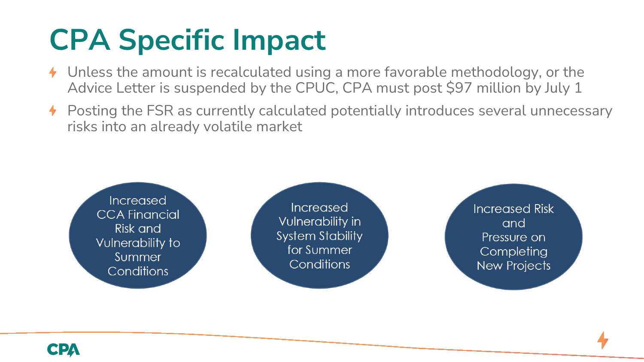## **CPA Specific Impact**

- Unless the amount is recalculated using a more favorable methodology, or the Advice Letter is suspended by the CPUC, CPA must post \$97 million by July 1
- $\blacklozenge$  Posting the FSR as currently calculated potentially introduces several unnecessary risks into an already volatile market

Increased **CCA Financial** Risk and Vulnerability to Summer Conditions

Increased Vulnerability in **System Stability** for Summer Conditions

**Increased Risk** and Pressure on Completing **New Projects**